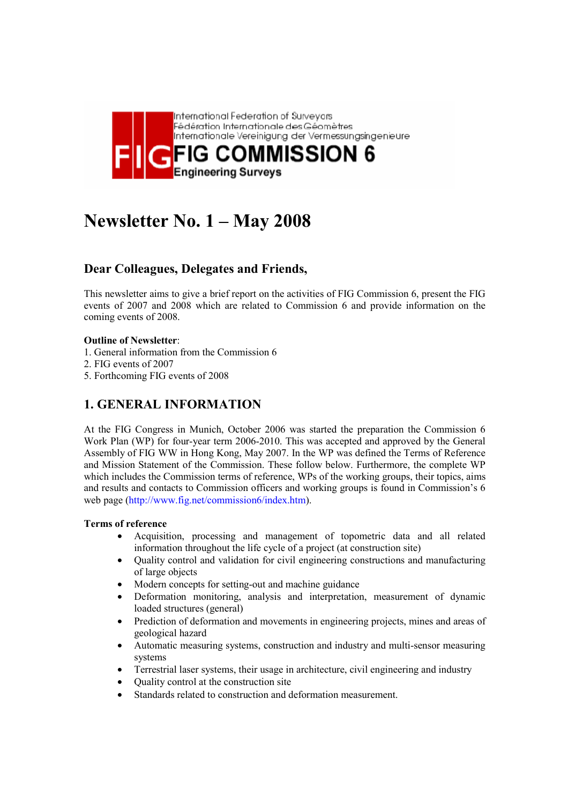

# **Newsletter No. 1 – May 2008**

# **Dear Colleagues, Delegates and Friends,**

This newsletter aims to give a brief report on the activities of FIG Commission 6, present the FIG events of 2007 and 2008 which are related to Commission 6 and provide information on the coming events of 2008.

## **Outline of Newsletter**:

- 1. General information from the Commission 6
- 2. FIG events of 2007
- 5. Forthcoming FIG events of 2008

# **1. GENERAL INFORMATION**

At the FIG Congress in Munich, October 2006 was started the preparation the Commission 6 Work Plan (WP) for four-year term 2006-2010. This was accepted and approved by the General Assembly of FIG WW in Hong Kong, May 2007. In the WP was defined the Terms of Reference and Mission Statement of the Commission. These follow below. Furthermore, the complete WP which includes the Commission terms of reference, WPs of the working groups, their topics, aims and results and contacts to Commission officers and working groups is found in Commission's 6 web page (http://www.fig.net/commission6/index.htm).

#### **Terms of reference**

- Acquisition, processing and management of topometric data and all related information throughout the life cycle of a project (at construction site)
- Quality control and validation for civil engineering constructions and manufacturing of large objects
- Modern concepts for setting-out and machine guidance
- Deformation monitoring, analysis and interpretation, measurement of dynamic loaded structures (general)
- Prediction of deformation and movements in engineering projects, mines and areas of geological hazard
- Automatic measuring systems, construction and industry and multi-sensor measuring systems
- Terrestrial laser systems, their usage in architecture, civil engineering and industry
- Quality control at the construction site
- Standards related to construction and deformation measurement.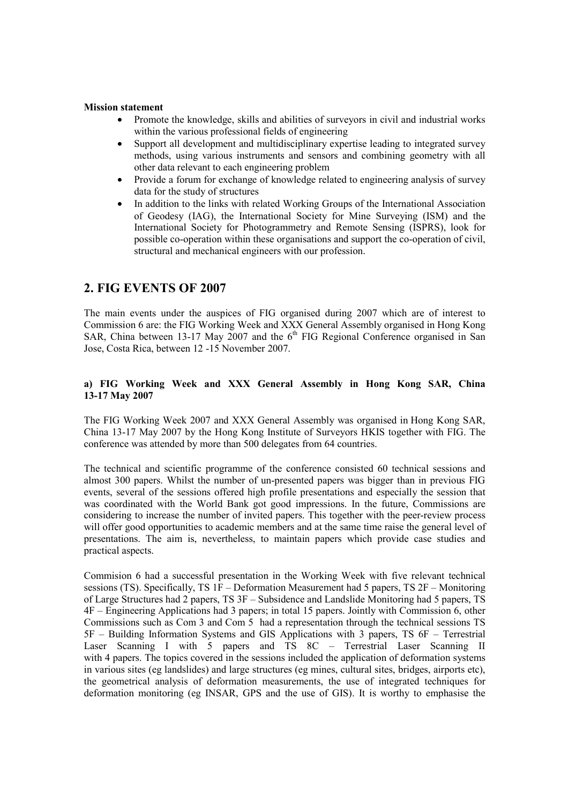#### **Mission statement**

- Promote the knowledge, skills and abilities of surveyors in civil and industrial works within the various professional fields of engineering
- Support all development and multidisciplinary expertise leading to integrated survey methods, using various instruments and sensors and combining geometry with all other data relevant to each engineering problem
- Provide a forum for exchange of knowledge related to engineering analysis of survey data for the study of structures
- In addition to the links with related Working Groups of the International Association of Geodesy (IAG), the International Society for Mine Surveying (ISM) and the International Society for Photogrammetry and Remote Sensing (ISPRS), look for possible co-operation within these organisations and support the co-operation of civil, structural and mechanical engineers with our profession.

# **2. FIG EVENTS OF 2007**

The main events under the auspices of FIG organised during 2007 which are of interest to Commission 6 are: the FIG Working Week and XXX General Assembly organised in Hong Kong SAR, China between 13-17 May 2007 and the  $6<sup>th</sup>$  FIG Regional Conference organised in San Jose, Costa Rica, between 12 -15 November 2007.

#### **a) FIG Working Week and XXX General Assembly in Hong Kong SAR, China 13-17 May 2007**

The FIG Working Week 2007 and XXX General Assembly was organised in Hong Kong SAR, China 13-17 May 2007 by the Hong Kong Institute of Surveyors HKIS together with FIG. The conference was attended by more than 500 delegates from 64 countries.

The technical and scientific programme of the conference consisted 60 technical sessions and almost 300 papers. Whilst the number of un-presented papers was bigger than in previous FIG events, several of the sessions offered high profile presentations and especially the session that was coordinated with the World Bank got good impressions. In the future, Commissions are considering to increase the number of invited papers. This together with the peer-review process will offer good opportunities to academic members and at the same time raise the general level of presentations. The aim is, nevertheless, to maintain papers which provide case studies and practical aspects.

Commision 6 had a successful presentation in the Working Week with five relevant technical sessions (TS). Specifically, TS 1F – Deformation Measurement had 5 papers, TS 2F – Monitoring of Large Structures had 2 papers, TS 3F – Subsidence and Landslide Monitoring had 5 papers, TS 4F – Engineering Applications had 3 papers; in total 15 papers. Jointly with Commission 6, other Commissions such as Com 3 and Com 5 had a representation through the technical sessions TS 5F – Building Information Systems and GIS Applications with 3 papers, TS 6F – Terrestrial Laser Scanning I with 5 papers and TS 8C – Terrestrial Laser Scanning II with 4 papers. The topics covered in the sessions included the application of deformation systems in various sites (eg landslides) and large structures (eg mines, cultural sites, bridges, airports etc), the geometrical analysis of deformation measurements, the use of integrated techniques for deformation monitoring (eg INSAR, GPS and the use of GIS). It is worthy to emphasise the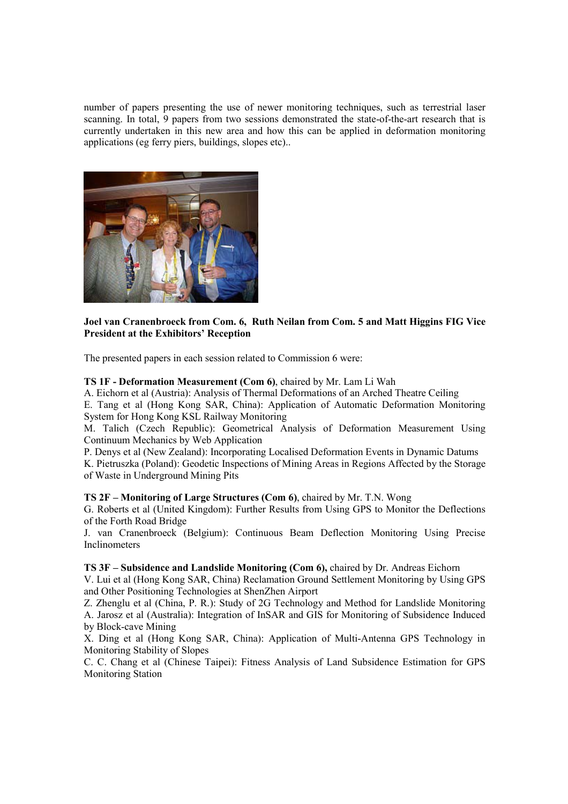number of papers presenting the use of newer monitoring techniques, such as terrestrial laser scanning. In total, 9 papers from two sessions demonstrated the state-of-the-art research that is currently undertaken in this new area and how this can be applied in deformation monitoring applications (eg ferry piers, buildings, slopes etc)..



## **Joel van Cranenbroeck from Com. 6, Ruth Neilan from Com. 5 and Matt Higgins FIG Vice President at the Exhibitors' Reception**

The presented papers in each session related to Commission 6 were:

#### **TS 1F - Deformation Measurement (Com 6)**, chaired by Mr. Lam Li Wah

A. Eichorn et al (Austria): Analysis of Thermal Deformations of an Arched Theatre Ceiling E. Tang et al (Hong Kong SAR, China): Application of Automatic Deformation Monitoring System for Hong Kong KSL Railway Monitoring

M. Talich (Czech Republic): Geometrical Analysis of Deformation Measurement Using Continuum Mechanics by Web Application

P. Denys et al (New Zealand): Incorporating Localised Deformation Events in Dynamic Datums

K. Pietruszka (Poland): Geodetic Inspections of Mining Areas in Regions Affected by the Storage of Waste in Underground Mining Pits

**TS 2F – Monitoring of Large Structures (Com 6)**, chaired by Mr. T.N. Wong

G. Roberts et al (United Kingdom): Further Results from Using GPS to Monitor the Deflections of the Forth Road Bridge

J. van Cranenbroeck (Belgium): Continuous Beam Deflection Monitoring Using Precise Inclinometers

#### **TS 3F – Subsidence and Landslide Monitoring (Com 6),** chaired by Dr. Andreas Eichorn

V. Lui et al (Hong Kong SAR, China) Reclamation Ground Settlement Monitoring by Using GPS and Other Positioning Technologies at ShenZhen Airport

Z. Zhenglu et al (China, P. R.): Study of 2G Technology and Method for Landslide Monitoring A. Jarosz et al (Australia): Integration of InSAR and GIS for Monitoring of Subsidence Induced by Block-cave Mining

X. Ding et al (Hong Kong SAR, China): Application of Multi-Antenna GPS Technology in Monitoring Stability of Slopes

C. C. Chang et al (Chinese Taipei): Fitness Analysis of Land Subsidence Estimation for GPS Monitoring Station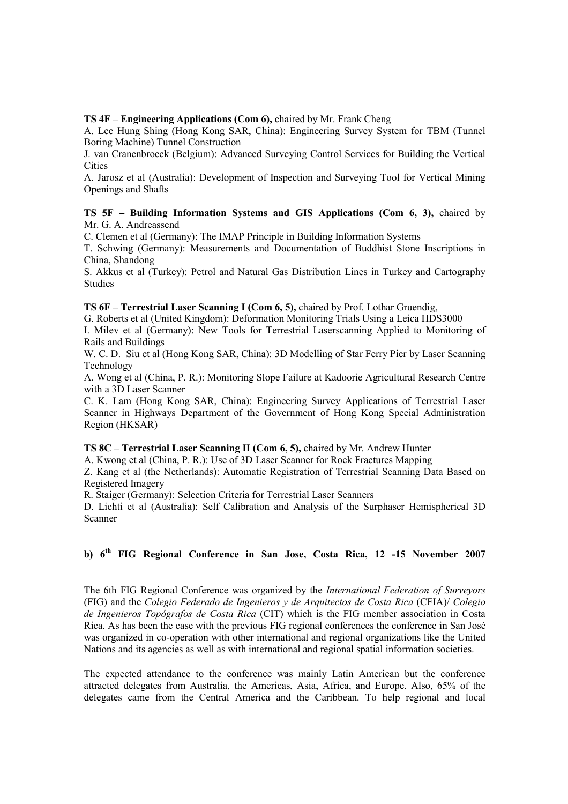#### **TS 4F – Engineering Applications (Com 6),** chaired by Mr. Frank Cheng

A. Lee Hung Shing (Hong Kong SAR, China): Engineering Survey System for TBM (Tunnel Boring Machine) Tunnel Construction

J. van Cranenbroeck (Belgium): Advanced Surveying Control Services for Building the Vertical **Cities** 

A. Jarosz et al (Australia): Development of Inspection and Surveying Tool for Vertical Mining Openings and Shafts

#### **TS 5F – Building Information Systems and GIS Applications (Com 6, 3),** chaired by Mr. G. A. Andreassend

C. Clemen et al (Germany): The IMAP Principle in Building Information Systems

T. Schwing (Germany): Measurements and Documentation of Buddhist Stone Inscriptions in China, Shandong

S. Akkus et al (Turkey): Petrol and Natural Gas Distribution Lines in Turkey and Cartography Studies

**TS 6F – Terrestrial Laser Scanning I (Com 6, 5),** chaired by Prof. Lothar Gruendig,

G. Roberts et al (United Kingdom): Deformation Monitoring Trials Using a Leica HDS3000

I. Milev et al (Germany): New Tools for Terrestrial Laserscanning Applied to Monitoring of Rails and Buildings

W. C. D. Siu et al (Hong Kong SAR, China): 3D Modelling of Star Ferry Pier by Laser Scanning Technology

A. Wong et al (China, P. R.): Monitoring Slope Failure at Kadoorie Agricultural Research Centre with a 3D Laser Scanner

C. K. Lam (Hong Kong SAR, China): Engineering Survey Applications of Terrestrial Laser Scanner in Highways Department of the Government of Hong Kong Special Administration Region (HKSAR)

**TS 8C – Terrestrial Laser Scanning II (Com 6, 5),** chaired by Mr. Andrew Hunter

A. Kwong et al (China, P. R.): Use of 3D Laser Scanner for Rock Fractures Mapping

Z. Kang et al (the Netherlands): Automatic Registration of Terrestrial Scanning Data Based on Registered Imagery

R. Staiger (Germany): Selection Criteria for Terrestrial Laser Scanners

D. Lichti et al (Australia): Self Calibration and Analysis of the Surphaser Hemispherical 3D Scanner

## **b) 6th FIG Regional Conference in San Jose, Costa Rica, 12 -15 November 2007**

The 6th FIG Regional Conference was organized by the *International Federation of Surveyors* (FIG) and the *Colegio Federado de Ingenieros y de Arquitectos de Costa Rica* (CFIA)/ *Colegio de Ingenieros Topógrafos de Costa Rica* (CIT) which is the FIG member association in Costa Rica. As has been the case with the previous FIG regional conferences the conference in San José was organized in co-operation with other international and regional organizations like the United Nations and its agencies as well as with international and regional spatial information societies.

The expected attendance to the conference was mainly Latin American but the conference attracted delegates from Australia, the Americas, Asia, Africa, and Europe. Also, 65% of the delegates came from the Central America and the Caribbean. To help regional and local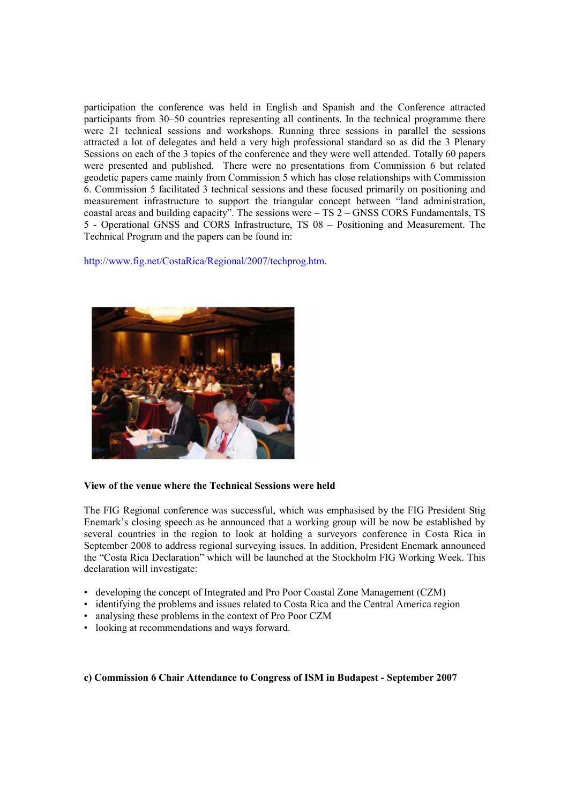participation the conference was held in English and Spanish and the Conference attracted participants from 30–50 countries representing all continents. In the technical programme there were 21 technical sessions and workshops. Running three sessions in parallel the sessions attracted a lot of delegates and held a very high professional standard so as did the 3 Plenary Sessions on each of the 3 topics of the conference and they were well attended. Totally 60 papers were presented and published. There were no presentations from Commission 6 but related geodetic papers came mainly from Commission 5 which has close relationships with Commission 6. Commission 5 facilitated 3 technical sessions and these focused primarily on positioning and measurement infrastructure to support the triangular concept between "land administration, coastal areas and building capacity". The sessions were – TS 2 – GNSS CORS Fundamentals, TS 5 - Operational GNSS and CORS Infrastructure, TS 08 – Positioning and Measurement. The Technical Program and the papers can be found in:

http://www.fig.net/CostaRica/Regional/2007/techprog.htm.



#### **View of the venue where the Technical Sessions were held**

The FIG Regional conference was successful, which was emphasised by the FIG President Stig Enemark's closing speech as he announced that a working group will be now be established by several countries in the region to look at holding a surveyors conference in Costa Rica in September 2008 to address regional surveying issues. In addition, President Enemark announced the "Costa Rica Declaration" which will be launched at the Stockholm FIG Working Week. This declaration will investigate:

- developing the concept of Integrated and Pro Poor Coastal Zone Management (CZM)
- identifying the problems and issues related to Costa Rica and the Central America region
- analysing these problems in the context of Pro Poor CZM
- looking at recommendations and ways forward.

**c) Commission 6 Chair Attendance to Congress of ISM in Budapest - September 2007**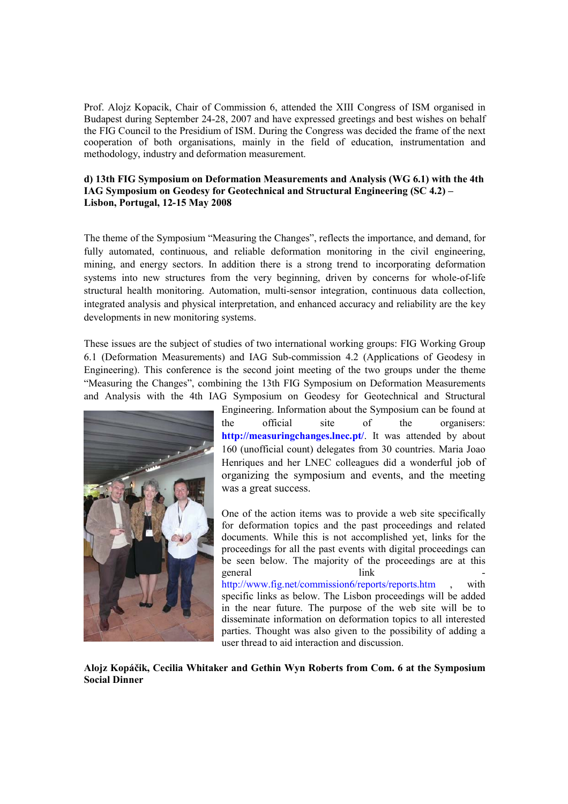Prof. Alojz Kopacik, Chair of Commission 6, attended the XIII Congress of ISM organised in Budapest during September 24-28, 2007 and have expressed greetings and best wishes on behalf the FIG Council to the Presidium of ISM. During the Congress was decided the frame of the next cooperation of both organisations, mainly in the field of education, instrumentation and methodology, industry and deformation measurement.

#### **d) 13th FIG Symposium on Deformation Measurements and Analysis (WG 6.1) with the 4th IAG Symposium on Geodesy for Geotechnical and Structural Engineering (SC 4.2) – Lisbon, Portugal, 12-15 May 2008**

The theme of the Symposium "Measuring the Changes", reflects the importance, and demand, for fully automated, continuous, and reliable deformation monitoring in the civil engineering, mining, and energy sectors. In addition there is a strong trend to incorporating deformation systems into new structures from the very beginning, driven by concerns for whole-of-life structural health monitoring. Automation, multi-sensor integration, continuous data collection, integrated analysis and physical interpretation, and enhanced accuracy and reliability are the key developments in new monitoring systems.

These issues are the subject of studies of two international working groups: FIG Working Group 6.1 (Deformation Measurements) and IAG Sub-commission 4.2 (Applications of Geodesy in Engineering). This conference is the second joint meeting of the two groups under the theme "Measuring the Changes", combining the 13th FIG Symposium on Deformation Measurements and Analysis with the 4th IAG Symposium on Geodesy for Geotechnical and Structural



Engineering. Information about the Symposium can be found at the official site of the organisers: **http://measuringchanges.lnec.pt/**. It was attended by about 160 (unofficial count) delegates from 30 countries. Maria Joao Henriques and her LNEC colleagues did a wonderful job of organizing the symposium and events, and the meeting was a great success.

One of the action items was to provide a web site specifically for deformation topics and the past proceedings and related documents. While this is not accomplished yet, links for the proceedings for all the past events with digital proceedings can be seen below. The majority of the proceedings are at this general link http://www.fig.net/commission6/reports/reports.htm , with specific links as below. The Lisbon proceedings will be added in the near future. The purpose of the web site will be to disseminate information on deformation topics to all interested parties. Thought was also given to the possibility of adding a user thread to aid interaction and discussion.

**Alojz Kopáčik, Cecilia Whitaker and Gethin Wyn Roberts from Com. 6 at the Symposium Social Dinner**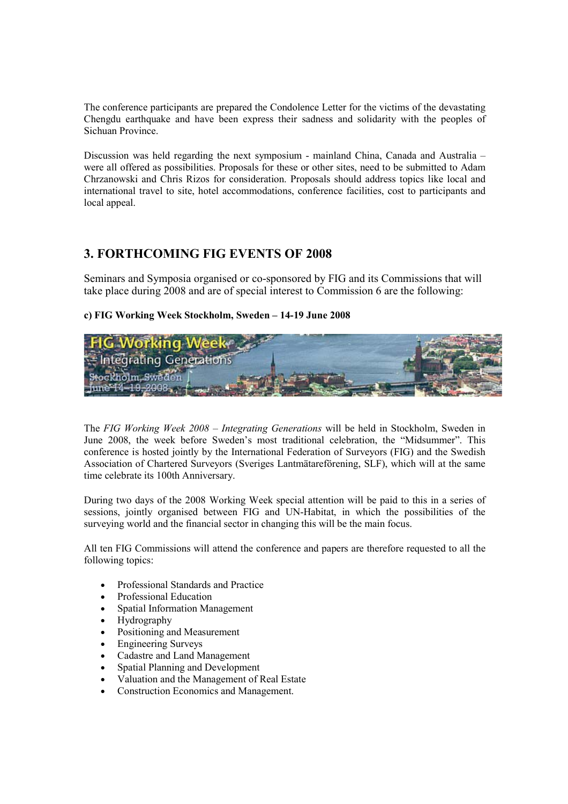The conference participants are prepared the Condolence Letter for the victims of the devastating Chengdu earthquake and have been express their sadness and solidarity with the peoples of Sichuan Province.

Discussion was held regarding the next symposium - mainland China, Canada and Australia – were all offered as possibilities. Proposals for these or other sites, need to be submitted to Adam Chrzanowski and Chris Rizos for consideration. Proposals should address topics like local and international travel to site, hotel accommodations, conference facilities, cost to participants and local appeal.

# **3. FORTHCOMING FIG EVENTS OF 2008**

Seminars and Symposia organised or co-sponsored by FIG and its Commissions that will take place during 2008 and are of special interest to Commission 6 are the following:

## **c) FIG Working Week Stockholm, Sweden – 14-19 June 2008**



The *FIG Working Week 2008 – Integrating Generations* will be held in Stockholm, Sweden in June 2008, the week before Sweden's most traditional celebration, the "Midsummer". This conference is hosted jointly by the International Federation of Surveyors (FIG) and the Swedish Association of Chartered Surveyors (Sveriges Lantmätareförening, SLF), which will at the same time celebrate its 100th Anniversary.

During two days of the 2008 Working Week special attention will be paid to this in a series of sessions, jointly organised between FIG and UN-Habitat, in which the possibilities of the surveying world and the financial sector in changing this will be the main focus.

All ten FIG Commissions will attend the conference and papers are therefore requested to all the following topics:

- Professional Standards and Practice
- Professional Education
- Spatial Information Management
- Hydrography
- Positioning and Measurement
- Engineering Surveys
- Cadastre and Land Management
- Spatial Planning and Development
- Valuation and the Management of Real Estate
- Construction Economics and Management.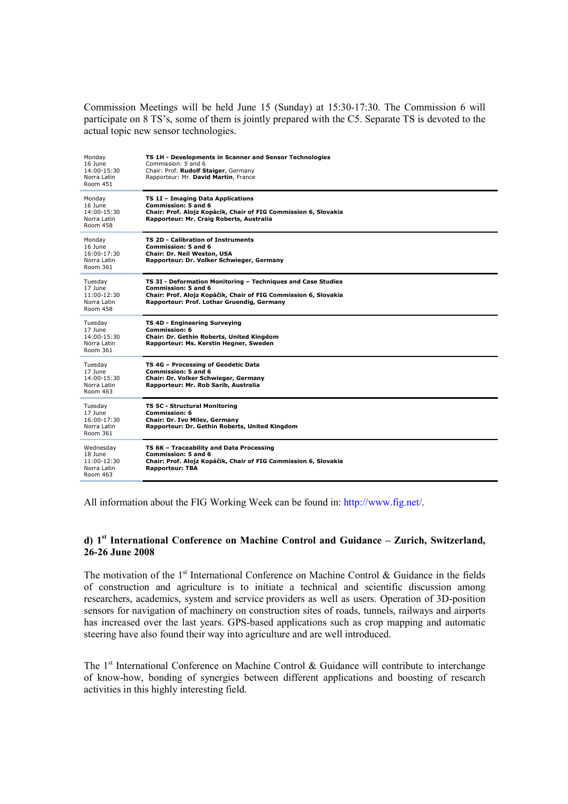Commission Meetings will be held June 15 (Sunday) at 15:30-17:30. The Commission 6 will participate on 8 TS's, some of them is jointly prepared with the C5. Separate TS is devoted to the actual topic new sensor technologies.

| Monday<br>16 June<br>14:00-15:30<br>Norra Latin<br>Room 451      | TS 1H - Developments in Scanner and Sensor Technologies<br>Commission: 5 and 6<br>Chair: Prof. Rudolf Staiger, Germany<br>Rapporteur: Mr. David Martin, France                                              |
|------------------------------------------------------------------|-------------------------------------------------------------------------------------------------------------------------------------------------------------------------------------------------------------|
| Monday<br>16 June<br>$14:00 - 15:30$<br>Norra Latin<br>Room 458  | TS 1I - Imaging Data Applications<br>Commission: 5 and 6<br>Chair: Prof. Alojz Kopácik, Chair of FIG Commission 6, Slovakia<br>Rapporteur: Mr. Craig Roberts, Australia                                     |
| Monday<br>16 June<br>$16:00-17:30$<br>Norra Latin<br>Room 361    | <b>TS 2D - Calibration of Instruments</b><br>Commission: 5 and 6<br>Chair: Dr. Neil Weston, USA<br>Rapporteur: Dr. Volker Schwieger, Germany                                                                |
| Tuesday<br>17 June<br>11:00-12:30<br>Norra Latin<br>Room 458     | TS 3I - Deformation Monitoring - Techniques and Case Studies<br><b>Commission: 5 and 6</b><br>Chair: Prof. Alojz Kopáčik, Chair of FIG Commission 6, Slovakia<br>Rapporteur: Prof. Lothar Gruendig, Germany |
| Tuesday<br>17 June<br>$14:00 - 15:30$<br>Norra Latin<br>Room 361 | TS 4D - Engineering Surveying<br><b>Commission: 6</b><br>Chair: Dr. Gethin Roberts, United Kingdom<br>Rapporteur: Ms. Kerstin Hegner, Sweden                                                                |
| Tuesday<br>17 June<br>14:00-15:30<br>Norra Latin<br>Room 463     | TS 4G - Processing of Geodetic Data<br>Commission: 5 and 6<br>Chair: Dr. Volker Schwieger, Germany<br>Rapporteur: Mr. Rob Sarib, Australia                                                                  |
| Tuesday<br>17 June<br>$16:00-17:30$<br>Norra Latin<br>Room 361   | TS 5C - Structural Monitoring<br>Commission: 6<br>Chair: Dr. Ivo Milev, Germany<br>Rapporteur: Dr. Gethin Roberts, United Kingdom                                                                           |
| Wednesday<br>18 June<br>$11:00-12:30$<br>Norra Latin<br>Room 463 | TS 6K - Traceability and Data Processing<br><b>Commission: 5 and 6</b><br>Chair: Prof. Alojz Kopáčik, Chair of FIG Commission 6, Slovakia<br><b>Rapporteur: TBA</b>                                         |

All information about the FIG Working Week can be found in: http://www.fig.net/.

#### **d) 1st International Conference on Machine Control and Guidance – Zurich, Switzerland, 26-26 June 2008**

The motivation of the  $1<sup>st</sup>$  International Conference on Machine Control & Guidance in the fields of construction and agriculture is to initiate a technical and scientific discussion among researchers, academics, system and service providers as well as users. Operation of 3D-position sensors for navigation of machinery on construction sites of roads, tunnels, railways and airports has increased over the last years. GPS-based applications such as crop mapping and automatic steering have also found their way into agriculture and are well introduced.

The  $1<sup>st</sup>$  International Conference on Machine Control & Guidance will contribute to interchange of know-how, bonding of synergies between different applications and boosting of research activities in this highly interesting field.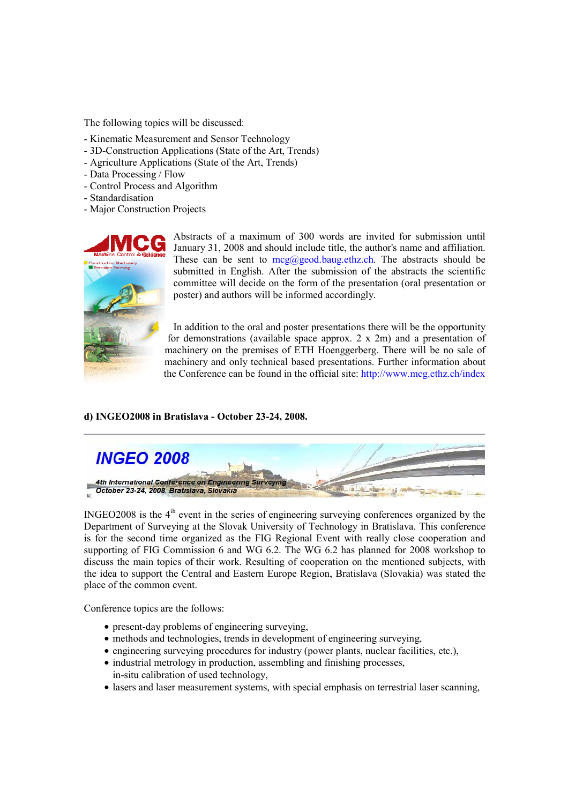The following topics will be discussed:

- Kinematic Measurement and Sensor Technology
- 3D-Construction Applications (State of the Art, Trends)
- Agriculture Applications (State of the Art, Trends)
- Data Processing / Flow
- Control Process and Algorithm
- Standardisation
- Major Construction Projects



Abstracts of a maximum of 300 words are invited for submission until January 31, 2008 and should include title, the author's name and affiliation. These can be sent to  $\text{mcg}(a)$  geod.baug.ethz.ch. The abstracts should be submitted in English. After the submission of the abstracts the scientific committee will decide on the form of the presentation (oral presentation or poster) and authors will be informed accordingly.

In addition to the oral and poster presentations there will be the opportunity for demonstrations (available space approx. 2 x 2m) and a presentation of machinery on the premises of ETH Hoenggerberg. There will be no sale of machinery and only technical based presentations. Further information about the Conference can be found in the official site: http://www.mcg.ethz.ch/index

#### **d) INGEO2008 in Bratislava - October 23-24, 2008.**



INGEO2008 is the 4<sup>th</sup> event in the series of engineering surveying conferences organized by the Department of Surveying at the Slovak University of Technology in Bratislava. This conference is for the second time organized as the FIG Regional Event with really close cooperation and supporting of FIG Commission 6 and WG 6.2. The WG 6.2 has planned for 2008 workshop to discuss the main topics of their work. Resulting of cooperation on the mentioned subjects, with the idea to support the Central and Eastern Europe Region, Bratislava (Slovakia) was stated the place of the common event.

Conference topics are the follows:

- present-day problems of engineering surveying,
- methods and technologies, trends in development of engineering surveying,
- engineering surveying procedures for industry (power plants, nuclear facilities, etc.),
- industrial metrology in production, assembling and finishing processes,
- in-situ calibration of used technology,
- lasers and laser measurement systems, with special emphasis on terrestrial laser scanning,